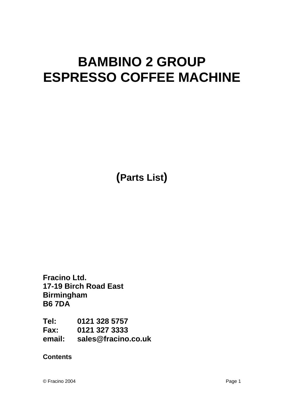## **BAMBINO 2 GROUP ESPRESSO COFFEE MACHINE**

**(Parts List)** 

**Fracino Ltd. 17-19 Birch Road East Birmingham B6 7DA** 

**Tel: 0121 328 5757 Fax: 0121 327 3333 email: sales@fracino.co.uk** 

**Contents**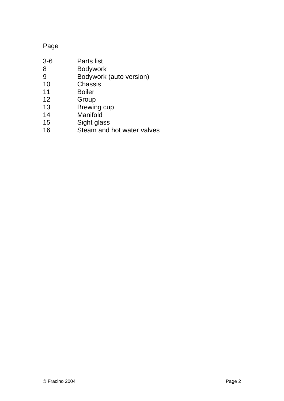## Page

- 3-6 Parts list
- 8 Bodywork
- 9 Bodywork (auto version)<br>10 Chassis
- Chassis
- 11 Boiler
- 12 Group
- 13 Brewing cup
- 14 Manifold
- 15 Sight glass<br>16 Steam and
- Steam and hot water valves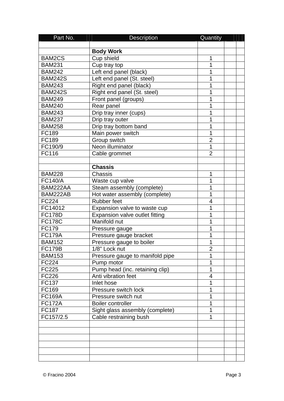| Part No.            | <b>Description</b>              | Quantity       |  |
|---------------------|---------------------------------|----------------|--|
|                     |                                 |                |  |
|                     | <b>Body Work</b>                |                |  |
| BAM2CS              | Cup shield                      | 1              |  |
| <b>BAM231</b>       | Cup tray top                    | 1              |  |
| <b>BAM242</b>       | Left end panel (black)          | 1              |  |
| <b>BAM242S</b>      | Left end panel (St. steel)      | 1              |  |
| <b>BAM243</b>       | Right end panel (black)         | 1              |  |
| <b>BAM242S</b>      | Right end panel (St. steel)     | 1              |  |
| <b>BAM249</b>       | Front panel (groups)            | 1              |  |
| <b>BAM240</b>       | Rear panel                      | 1              |  |
| <b>BAM243</b>       | Drip tray inner (cups)          | 1              |  |
| <b>BAM237</b>       | Drip tray outer                 | 1              |  |
| <b>BAM258</b>       | Drip tray bottom band           | 1              |  |
| <b>FC189</b>        | Main power switch               | 1              |  |
| <b>FC189</b>        | Group switch                    | $\overline{2}$ |  |
| FC190/9             | Neon illuminator                | 1              |  |
| <b>FC116</b>        | Cable grommet                   | $\overline{2}$ |  |
|                     |                                 |                |  |
|                     | <b>Chassis</b>                  |                |  |
| <b>BAM228</b>       | Chassis                         | 1              |  |
| <b>FC140/A</b>      | Waste cup valve                 | 1              |  |
| BAM222AA            | Steam assembly (complete)       | 1              |  |
| BAM222AB            | Hot water assembly (complete)   | $\overline{1}$ |  |
| <b>FC224</b>        | <b>Rubber</b> feet              | $\overline{4}$ |  |
| FC14012             | Expansion valve to waste cup    | 1              |  |
| <b>FC178D</b>       | Expansion valve outlet fitting  | 1              |  |
| <b>FC178C</b>       | Manifold nut                    | 1              |  |
| <b>FC179</b>        | Pressure gauge                  | $\overline{1}$ |  |
| <b>FC179A</b>       | Pressure gauge bracket          | 1              |  |
| <b>BAM152</b>       | Pressure gauge to boiler        | 1              |  |
| $\overline{FC179B}$ | 1/8" Lock nut                   | 2              |  |
| <b>BAM153</b>       | Pressure gauge to manifold pipe | 1              |  |
| <b>FC224</b>        | Pump motor                      | 1              |  |
| <b>FC225</b>        | Pump head (inc. retaining clip) | 1              |  |
| <b>FC226</b>        | Anti vibration feet             | 4              |  |
| FC137               | Inlet hose                      | 1              |  |
| FC169               | Pressure switch lock            | 1              |  |
| <b>FC169A</b>       | Pressure switch nut             | 1              |  |
| <b>FC172A</b>       | <b>Boiler controller</b>        | 1              |  |
| <b>FC187</b>        | Sight glass assembly (complete) | 1              |  |
| FC157/2.5           | Cable restraining bush          | 1              |  |
|                     |                                 |                |  |
|                     |                                 |                |  |
|                     |                                 |                |  |
|                     |                                 |                |  |
|                     |                                 |                |  |
|                     |                                 |                |  |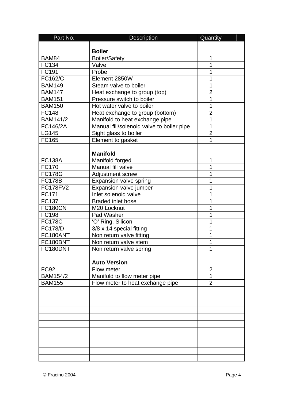| Part No.                       | <b>Description</b>                                   | Quantity            |  |
|--------------------------------|------------------------------------------------------|---------------------|--|
|                                |                                                      |                     |  |
|                                | <b>Boiler</b>                                        |                     |  |
| <b>BAM84</b>                   | Boiler/Safety                                        | 1                   |  |
| $FC13\overline{4}$             | Valve                                                | 1                   |  |
| FC191                          | Probe                                                | 1                   |  |
| FC162/C                        | Element 2850W                                        | 1                   |  |
| <b>BAM149</b>                  | Steam valve to boiler                                | 1                   |  |
| <b>BAM147</b>                  | Heat exchange to group (top)                         | $\overline{2}$      |  |
| <b>BAM151</b>                  | Pressure switch to boiler                            | 1                   |  |
| <b>BAM150</b>                  | Hot water valve to boiler                            | 1                   |  |
| <b>FC148</b>                   | Heat exchange to group (bottom)                      | $\overline{2}$      |  |
| <b>BAM141/2</b>                | Manifold to heat exchange pipe                       | 1                   |  |
| FC146/2A                       | Manual fill/solenoid valve to boiler pipe            | 1                   |  |
| <b>LG145</b>                   | Sight glass to boiler                                | $\overline{2}$      |  |
| <b>FC165</b>                   | Element to gasket                                    | 1                   |  |
|                                |                                                      |                     |  |
|                                | <b>Manifold</b>                                      |                     |  |
| <b>FC138A</b>                  | Manifold forged                                      | 1                   |  |
| <b>FC170</b>                   | Manual fill valve                                    | 1                   |  |
| <b>FC178G</b>                  | <b>Adjustment screw</b>                              | 1                   |  |
| <b>FC178B</b>                  | <b>Expansion valve spring</b>                        | 1                   |  |
| FC178FV2                       | Expansion valve jumper                               | 1                   |  |
| <b>FC171</b>                   | Inlet solenoid valve                                 | 1                   |  |
| <b>FC137</b>                   | <b>Braded inlet hose</b>                             | 1                   |  |
| <b>FC180CN</b>                 | M20 Locknut                                          | 1                   |  |
| <b>FC198</b>                   | Pad Washer                                           | 1                   |  |
| <b>FC178C</b>                  | 'O' Ring. Silicon                                    | 1                   |  |
| <b>FC178/D</b>                 |                                                      | 1                   |  |
| FC180ANT                       | 3/8 x 14 special fitting<br>Non return valve fitting | 1                   |  |
|                                |                                                      | 1                   |  |
| FC180BNT<br>FC180DNT           | Non return valve stem                                |                     |  |
|                                | Non return valve spring                              | Ί                   |  |
|                                | <b>Auto Version</b>                                  |                     |  |
|                                | Flow meter                                           |                     |  |
| <b>FC92</b><br><b>BAM154/2</b> |                                                      | $\overline{2}$<br>1 |  |
| <b>BAM155</b>                  | Manifold to flow meter pipe                          | $\overline{2}$      |  |
|                                | Flow meter to heat exchange pipe                     |                     |  |
|                                |                                                      |                     |  |
|                                |                                                      |                     |  |
|                                |                                                      |                     |  |
|                                |                                                      |                     |  |
|                                |                                                      |                     |  |
|                                |                                                      |                     |  |
|                                |                                                      |                     |  |
|                                |                                                      |                     |  |
|                                |                                                      |                     |  |
|                                |                                                      |                     |  |
|                                |                                                      |                     |  |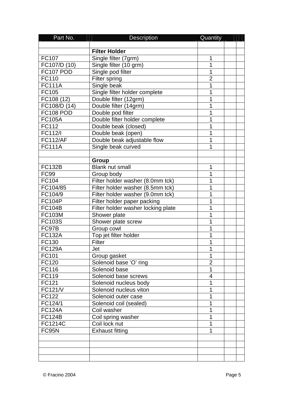| Part No.                 | <b>Description</b>                 | Quantity       |  |
|--------------------------|------------------------------------|----------------|--|
|                          |                                    |                |  |
|                          | <b>Filter Holder</b>               |                |  |
| FC107                    | Single filter (7grm)               | 1              |  |
| FC107/D (10)             | Single filter (10 grm)             | 1              |  |
| FC107 POD                | Single pod filter                  | 1              |  |
| FC110                    | Filter spring                      | $\overline{2}$ |  |
| <b>FC111A</b>            | Single beak                        | 1              |  |
| FC105                    | Single filter holder complete      | 1              |  |
| $\overline{FC}$ 108 (12) | Double filter (12grm)              | 1              |  |
| FC108/D (14)             | Double filter (14grm)              | 1              |  |
| <b>FC108 POD</b>         | Double pod filter                  | 1              |  |
| <b>FC105A</b>            | Double filter holder complete      | 1              |  |
| FC112                    | Double beak (closed)               | 1              |  |
| <b>FC112/I</b>           | Double beak (open)                 | 1              |  |
| <b>FC112/AF</b>          | Double beak adjustable flow        | 1              |  |
| <b>FC111A</b>            | Single beak curved                 | 1              |  |
|                          |                                    |                |  |
|                          | Group                              |                |  |
| <b>FC132B</b>            | <b>Blank nut small</b>             | 1              |  |
| <b>FC99</b>              | Group body                         | 1              |  |
| FC104                    | Filter holder washer (8.0mm tck)   | 1              |  |
| FC104/85                 | Filter holder washer (8.5mm tck)   | 1              |  |
| FC104/9                  | Filter holder washer (9.0mm tck)   | 1              |  |
| <b>FC104P</b>            | Filter holder paper packing        | 1              |  |
| <b>FC104B</b>            | Filter holder washer locking plate | 1              |  |
| <b>FC103M</b>            | Shower plate                       | 1              |  |
| <b>FC103S</b>            | Shower plate screw                 | 1              |  |
| FC97B                    | Group cowl                         | 1              |  |
| <b>FC132A</b>            | Top jet filter holder              | 1              |  |
| FC130                    | Filter                             | 1              |  |
| <b>FC129A</b>            | Jet                                | 1              |  |
| FC101                    | Group gasket                       | 1              |  |
| FC120                    | Solenoid base 'O' ring             | $\overline{2}$ |  |
| FC116                    | Solenoid base                      | 1              |  |
| FC119                    | Solenoid base screws               | $\overline{4}$ |  |
| FC121                    | Solenoid nucleus body              | 1              |  |
| FC121/V                  | Solenoid nucleus viton             | 1              |  |
| FC122                    | Solenoid outer case                | 1              |  |
| FC124/1                  | Solenoid coil (sealed)             | 1              |  |
| <b>FC124A</b>            | Coil washer                        | 1              |  |
| <b>FC124B</b>            | Coil spring washer                 | 1              |  |
| FC1214C                  | Coil lock nut                      | 1              |  |
| FC95N                    | <b>Exhaust fitting</b>             | 1              |  |
|                          |                                    |                |  |
|                          |                                    |                |  |
|                          |                                    |                |  |
|                          |                                    |                |  |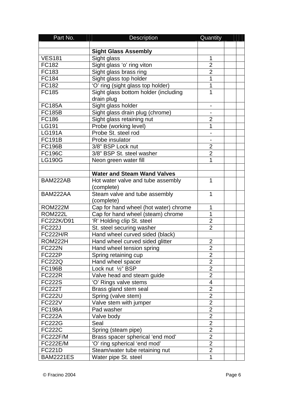| Part No.         | <b>Description</b>                          | Quantity       |  |
|------------------|---------------------------------------------|----------------|--|
|                  |                                             |                |  |
|                  | <b>Sight Glass Assembly</b>                 |                |  |
| <b>VES181</b>    | Sight glass                                 | 1              |  |
| <b>FC182</b>     | Sight glass 'o' ring viton                  | $\overline{2}$ |  |
| FC183            | Sight glass brass ring                      | $\overline{2}$ |  |
| <b>FC184</b>     | Sight glass top holder                      | 1              |  |
| FC182            | 'O' ring (sight glass top holder)           | 1              |  |
| <b>FC185</b>     | Sight glass bottom holder (including        | 1              |  |
|                  | drain plug                                  |                |  |
| <b>FC185A</b>    | Sight glass holder                          |                |  |
| <b>FC185B</b>    | Sight glass drain plug (chrome)             |                |  |
| <b>FC186</b>     | Sight glass retaining nut                   | 2              |  |
| LG191            | Probe (working level)                       | 1              |  |
| <b>LG191A</b>    | Probe St. steel rod                         |                |  |
| <b>FC191B</b>    | Probe insulator                             |                |  |
| <b>FC196B</b>    | 3/8" BSP Lock nut                           | $\overline{2}$ |  |
| <b>FC196C</b>    | 3/8" BSP St. steel washer                   | $\overline{2}$ |  |
| <b>LG190G</b>    | Neon green water fill                       | 1              |  |
|                  |                                             |                |  |
|                  | <b>Water and Steam Wand Valves</b>          |                |  |
| BAM222AB         | Hot water valve and tube assembly           | 1              |  |
|                  | (complete)                                  | 1              |  |
| BAM222AA         | Steam valve and tube assembly<br>(complete) |                |  |
| <b>ROM222M</b>   | Cap for hand wheel (hot water) chrome       | 1              |  |
| <b>ROM222L</b>   | Cap for hand wheel (steam) chrome           | 1              |  |
| FC222K/D91       | 'R' Holding clip St. steel                  | $\overline{2}$ |  |
| <b>FC222J</b>    | St. steel securing washer                   | $\overline{2}$ |  |
| <b>FC222H/R</b>  | Hand wheel curved sided (black)             |                |  |
| ROM222H          | Hand wheel curved sided glitter             | 2              |  |
| <b>FC222N</b>    | Hand wheel tension spring                   | $\overline{2}$ |  |
| <b>FC222P</b>    | Spring retaining cup                        | $\overline{2}$ |  |
| <b>FC222Q</b>    | Hand wheel spacer                           | $\overline{2}$ |  |
| <b>FC196B</b>    | Lock nut 1/2" BSP                           | $\overline{2}$ |  |
| <b>FC222R</b>    | Valve head and steam guide                  | $\overline{2}$ |  |
| <b>FC222S</b>    | 'O' Rings valve stems                       | 4              |  |
| <b>FC222T</b>    | Brass gland stem seal                       | $\overline{2}$ |  |
| <b>FC222U</b>    | Spring (valve stem)                         | $\overline{2}$ |  |
| <b>FC222V</b>    | Valve stem with jumper                      | $\overline{2}$ |  |
| <b>FC198A</b>    | Pad washer                                  | $\overline{2}$ |  |
| <b>FC222A</b>    | Valve body                                  | $\overline{2}$ |  |
| <b>FC222G</b>    | Seal                                        | $\overline{2}$ |  |
| <b>FC222C</b>    | Spring (steam pipe)                         | $\overline{2}$ |  |
| <b>FC222F/M</b>  | Brass spacer spherical 'end mod'            | $\overline{2}$ |  |
| <b>FC222E/M</b>  | 'O' ring spherical 'end mod'                | $\overline{2}$ |  |
| <b>FC221D</b>    | Steam/water tube retaining nut              | $\overline{2}$ |  |
| <b>BAM2221ES</b> | Water pipe St. steel                        | 1              |  |
|                  |                                             |                |  |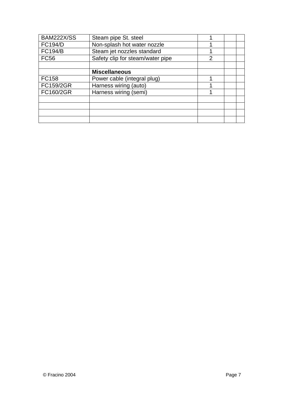| <b>BAM222X/SS</b> | Steam pipe St. steel             |   |  |
|-------------------|----------------------------------|---|--|
| <b>FC194/D</b>    | Non-splash hot water nozzle      |   |  |
| <b>FC194/B</b>    | Steam jet nozzles standard       |   |  |
| <b>FC56</b>       | Safety clip for steam/water pipe | 2 |  |
|                   |                                  |   |  |
|                   | <b>Miscellaneous</b>             |   |  |
| FC158             | Power cable (integral plug)      |   |  |
| FC159/2GR         | Harness wiring (auto)            |   |  |
| FC160/2GR         | Harness wiring (semi)            |   |  |
|                   |                                  |   |  |
|                   |                                  |   |  |
|                   |                                  |   |  |
|                   |                                  |   |  |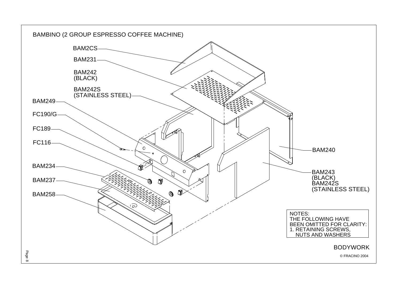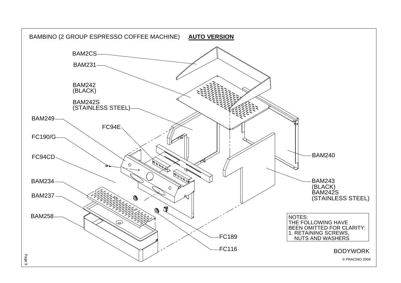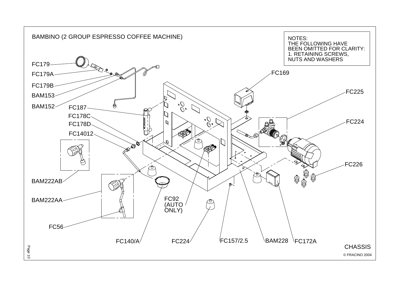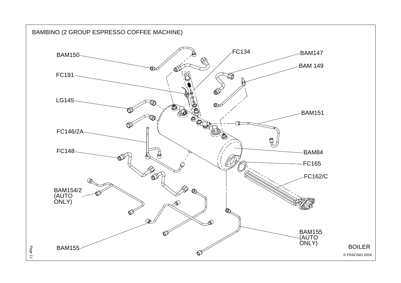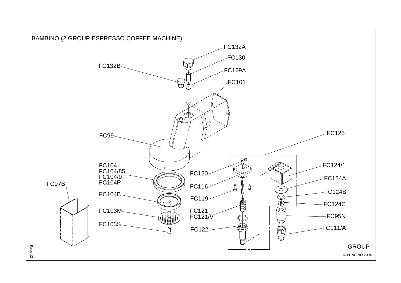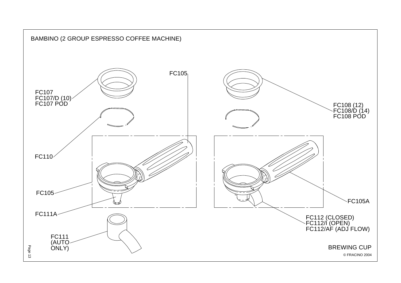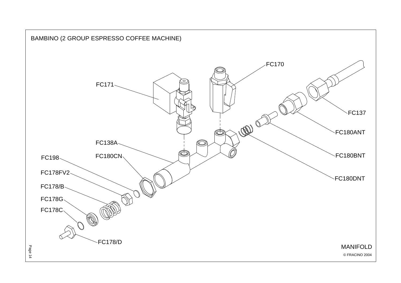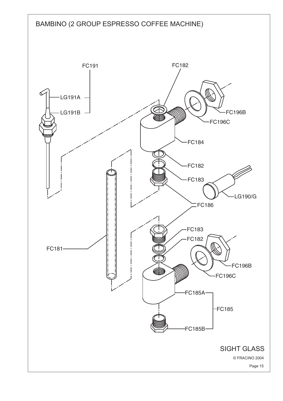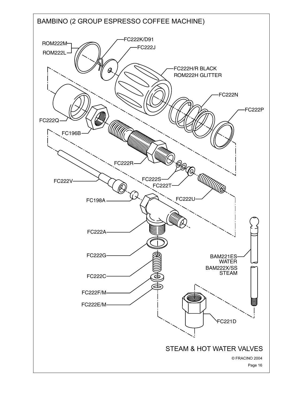